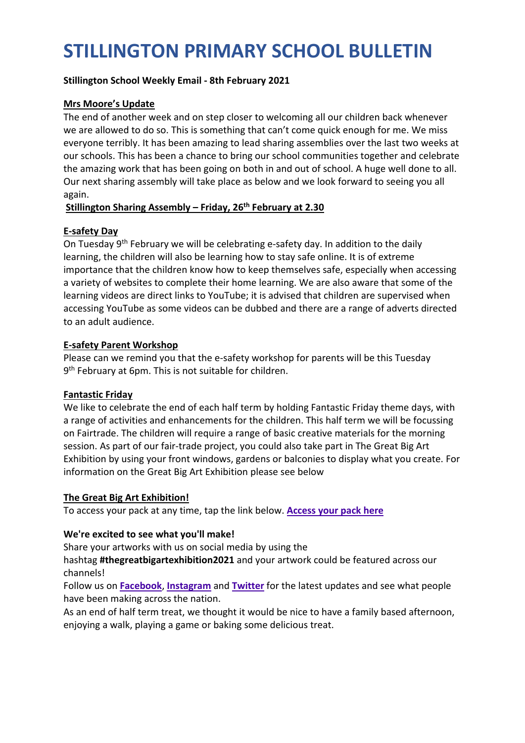# **STILLINGTON PRIMARY SCHOOL BULLETIN**

## **Stillington School Weekly Email - 8th February 2021**

## **Mrs Moore's Update**

The end of another week and on step closer to welcoming all our children back whenever we are allowed to do so. This is something that can't come quick enough for me. We miss everyone terribly. It has been amazing to lead sharing assemblies over the last two weeks at our schools. This has been a chance to bring our school communities together and celebrate the amazing work that has been going on both in and out of school. A huge well done to all. Our next sharing assembly will take place as below and we look forward to seeing you all again.

### **Stillington Sharing Assembly – Friday, 26th February at 2.30**

## **E-safety Day**

On Tuesday 9<sup>th</sup> February we will be celebrating e-safety day. In addition to the daily learning, the children will also be learning how to stay safe online. It is of extreme importance that the children know how to keep themselves safe, especially when accessing a variety of websites to complete their home learning. We are also aware that some of the learning videos are direct links to YouTube; it is advised that children are supervised when accessing YouTube as some videos can be dubbed and there are a range of adverts directed to an adult audience.

#### **E-safety Parent Workshop**

Please can we remind you that the e-safety workshop for parents will be this Tuesday 9<sup>th</sup> February at 6pm. This is not suitable for children.

#### **Fantastic Friday**

We like to celebrate the end of each half term by holding Fantastic Friday theme days, with a range of activities and enhancements for the children. This half term we will be focussing on Fairtrade. The children will require a range of basic creative materials for the morning session. As part of our fair-trade project, you could also take part in The Great Big Art Exhibition by using your front windows, gardens or balconies to display what you create. For information on the Great Big Art Exhibition please see below

#### **The Great Big Art Exhibition!**

To access your pack at any time, tap the link below. **[Access](https://firstsite.uk/content/uploads/2021/01/2411_Firstsite_TheGreatExhibition_Pack_Artwork_2.pdf) your pack here**

#### **We're excited to see what you'll make!**

Share your artworks with us on social media by using the

hashtag **#thegreatbigartexhibition2021** and your artwork could be featured across our channels!

Follow us on **[Facebook](http://www.facebook.com/firstsite)**, **[Instagram](http://www.instagram.com/firstsitecolchester)** and **[Twitter](http://www.twitter.com/firstsite)** for the latest updates and see what people have been making across the nation.

As an end of half term treat, we thought it would be nice to have a family based afternoon, enjoying a walk, playing a game or baking some delicious treat.